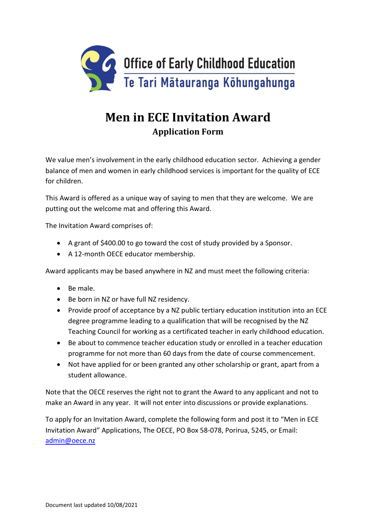

## **Men in ECE Invitation Award Application Form**

We value men's involvement in the early childhood education sector. Achieving a gender balance of men and women in early childhood services is important for the quality of ECE for children.

This Award is offered as a unique way of saying to men that they are welcome. We are putting out the welcome mat and offering this Award.

The Invitation Award comprises of:

- A grant of \$400.00 to go toward the cost of study provided by a Sponsor.
- A 12-month OECE educator membership.

Award applicants may be based anywhere in NZ and must meet the following criteria:

- Be male.
- Be born in NZ or have full NZ residency.
- Provide proof of acceptance by a NZ public tertiary education institution into an ECE degree programme leading to a qualification that will be recognised by the NZ Teaching Council for working as a certificated teacher in early childhood education.
- Be about to commence teacher education study or enrolled in a teacher education programme for not more than 60 days from the date of course commencement.
- Not have applied for or been granted any other scholarship or grant, apart from a student allowance.

Note that the OECE reserves the right not to grant the Award to any applicant and not to make an Award in any year. It will not enter into discussions or provide explanations.

To apply for an Invitation Award, complete the following form and post it to "Men in ECE Invitation Award" Applications, The OECE, PO Box 58-078, Porirua, 5245, or Email: [admin@oece.nz](mailto:admin@oece.nz)